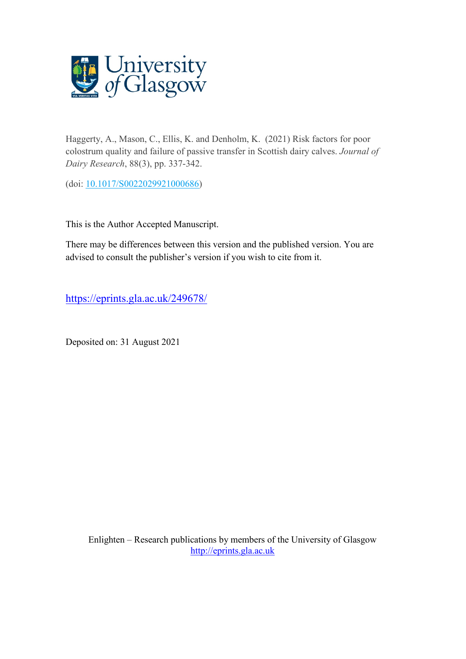

Haggerty, A., Mason, C., Ellis, K. and Denholm, K. (2021) Risk factors for poor colostrum quality and failure of passive transfer in Scottish dairy calves. *Journal of Dairy Research*, 88(3), pp. 337-342.

(doi: [10.1017/S0022029921000686\)](http://dx.doi.org/10.1017/S0022029921000686)

This is the Author Accepted Manuscript.

There may be differences between this version and the published version. You are advised to consult the publisher's version if you wish to cite from it.

<https://eprints.gla.ac.uk/249678/>

Deposited on: 31 August 2021

Enlighten – Research publications by members of the University of Glasgow [http://eprints.gla.ac.uk](http://eprints.gla.ac.uk/)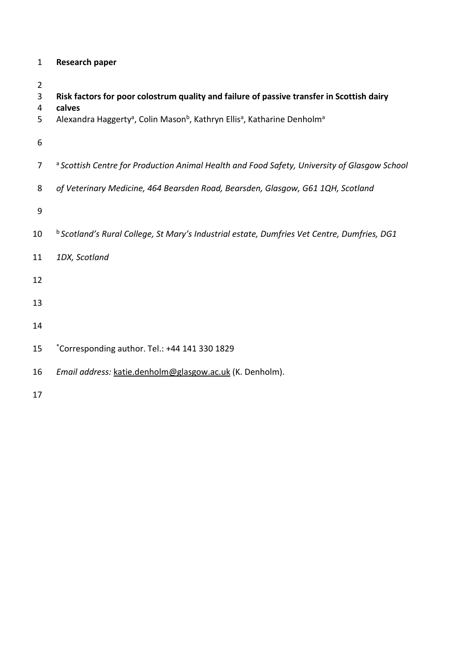| <b>Research paper</b><br>1 |  |
|----------------------------|--|
|----------------------------|--|

 **Risk factors for poor colostrum quality and failure of passive transfer in Scottish dairy calves** 5 Alexandra Haggerty<sup>a</sup>, Colin Mason<sup>b</sup>, Kathryn Ellis<sup>a</sup>, Katharine Denholm<sup>a</sup> a 7 *Scottish Centre for Production Animal Health and Food Safety, University of Glasgow School of Veterinary Medicine, 464 Bearsden Road, Bearsden, Glasgow, G61 1QH, Scotland* b 10 *Scotland's Rural College, St Mary's Industrial estate, Dumfries Vet Centre, Dumfries, DG1 1DX, Scotland* 15 \* Corresponding author. Tel.: +44 141 330 1829 *Email address:* [katie.denholm@glasgow.ac.uk](mailto:katie.denholm@glasgow.ac.uk) (K. Denholm).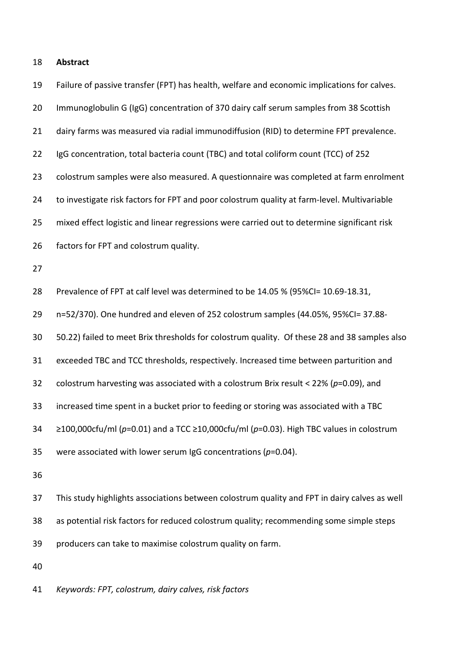| 19 | Failure of passive transfer (FPT) has health, welfare and economic implications for calves.        |
|----|----------------------------------------------------------------------------------------------------|
| 20 | Immunoglobulin G (IgG) concentration of 370 dairy calf serum samples from 38 Scottish              |
| 21 | dairy farms was measured via radial immunodiffusion (RID) to determine FPT prevalence.             |
| 22 | IgG concentration, total bacteria count (TBC) and total coliform count (TCC) of 252                |
| 23 | colostrum samples were also measured. A questionnaire was completed at farm enrolment              |
| 24 | to investigate risk factors for FPT and poor colostrum quality at farm-level. Multivariable        |
| 25 | mixed effect logistic and linear regressions were carried out to determine significant risk        |
| 26 | factors for FPT and colostrum quality.                                                             |
| 27 |                                                                                                    |
| 28 | Prevalence of FPT at calf level was determined to be 14.05 % (95%CI= 10.69-18.31,                  |
| 29 | n=52/370). One hundred and eleven of 252 colostrum samples (44.05%, 95%CI=37.88-                   |
| 30 | 50.22) failed to meet Brix thresholds for colostrum quality. Of these 28 and 38 samples also       |
| 31 | exceeded TBC and TCC thresholds, respectively. Increased time between parturition and              |
| 32 | colostrum harvesting was associated with a colostrum Brix result < 22% ( $p$ =0.09), and           |
| 33 | increased time spent in a bucket prior to feeding or storing was associated with a TBC             |
| 34 | $\geq$ 100,000cfu/ml (p=0.01) and a TCC $\geq$ 10,000cfu/ml (p=0.03). High TBC values in colostrum |
| 35 | were associated with lower serum IgG concentrations ( $p=0.04$ ).                                  |
| 36 |                                                                                                    |
| 37 | This study highlights associations between colostrum quality and FPT in dairy calves as well       |
| 38 | as potential risk factors for reduced colostrum quality; recommending some simple steps            |
| 39 | producers can take to maximise colostrum quality on farm.                                          |

*Keywords: FPT, colostrum, dairy calves, risk factors*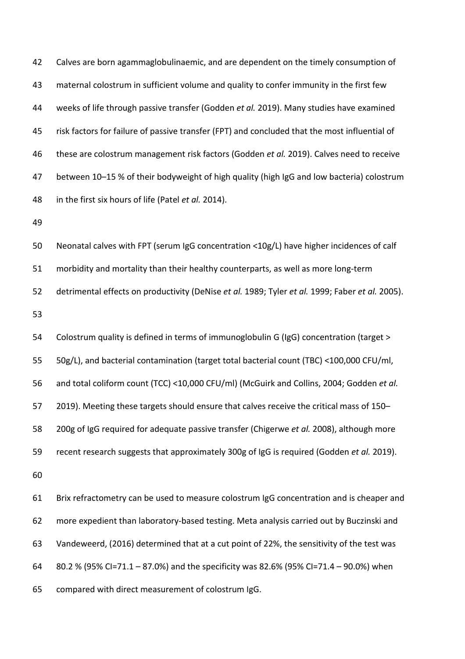42 Calves are born agammaglobulinaemic, and are dependent on the timely consumption of maternal colostrum in sufficient volume and quality to confer immunity in the first few weeks of life through passive transfer (Godden *et al.* 2019). Many studies have examined risk factors for failure of passive transfer (FPT) and concluded that the most influential of these are colostrum management risk factors (Godden *et al.* 2019). Calves need to receive between 10–15 % of their bodyweight of high quality (high IgG and low bacteria) colostrum in the first six hours of life (Patel *et al.* 2014).

Neonatal calves with FPT (serum IgG concentration <10g/L) have higher incidences of calf

morbidity and mortality than their healthy counterparts, as well as more long-term

detrimental effects on productivity (DeNise *et al.* 1989; Tyler *et al.* 1999; Faber *et al.* 2005).

 Colostrum quality is defined in terms of immunoglobulin G (IgG) concentration (target > 50g/L), and bacterial contamination (target total bacterial count (TBC) <100,000 CFU/ml, and total coliform count (TCC) <10,000 CFU/ml) (McGuirk and Collins, 2004; Godden *et al.* 2019). Meeting these targets should ensure that calves receive the critical mass of 150– 200g of IgG required for adequate passive transfer (Chigerwe *et al.* 2008), although more recent research suggests that approximately 300g of IgG is required (Godden *et al.* 2019).

 Brix refractometry can be used to measure colostrum IgG concentration and is cheaper and more expedient than laboratory-based testing. Meta analysis carried out by Buczinski and Vandeweerd, (2016) determined that at a cut point of 22%, the sensitivity of the test was 80.2 % (95% CI=71.1 – 87.0%) and the specificity was 82.6% (95% CI=71.4 – 90.0%) when compared with direct measurement of colostrum IgG.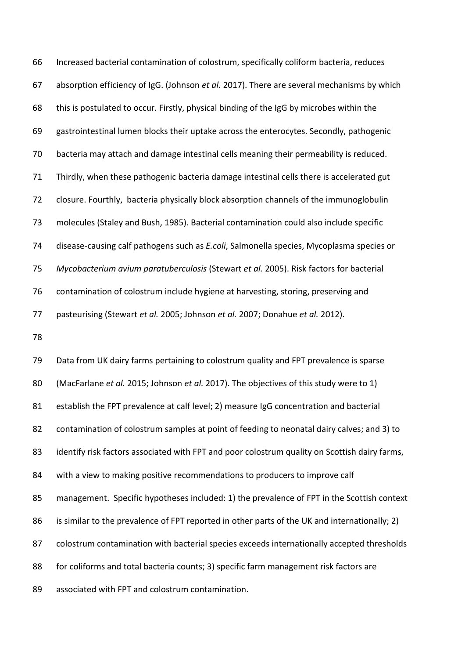Increased bacterial contamination of colostrum, specifically coliform bacteria, reduces absorption efficiency of IgG. (Johnson *et al.* 2017). There are several mechanisms by which this is postulated to occur. Firstly, physical binding of the IgG by microbes within the gastrointestinal lumen blocks their uptake across the enterocytes. Secondly, pathogenic bacteria may attach and damage intestinal cells meaning their permeability is reduced. Thirdly, when these pathogenic bacteria damage intestinal cells there is accelerated gut closure. Fourthly, bacteria physically block absorption channels of the immunoglobulin molecules (Staley and Bush, 1985). Bacterial contamination could also include specific disease-causing calf pathogens such as *E.coli*, Salmonella species, Mycoplasma species or *Mycobacterium avium paratuberculosis* (Stewart *et al.* 2005). Risk factors for bacterial contamination of colostrum include hygiene at harvesting, storing, preserving and pasteurising (Stewart *et al.* 2005; Johnson *et al.* 2007; Donahue *et al.* 2012).

 Data from UK dairy farms pertaining to colostrum quality and FPT prevalence is sparse (MacFarlane *et al.* 2015; Johnson *et al.* 2017). The objectives of this study were to 1) establish the FPT prevalence at calf level; 2) measure IgG concentration and bacterial contamination of colostrum samples at point of feeding to neonatal dairy calves; and 3) to identify risk factors associated with FPT and poor colostrum quality on Scottish dairy farms, with a view to making positive recommendations to producers to improve calf management. Specific hypotheses included: 1) the prevalence of FPT in the Scottish context 86 is similar to the prevalence of FPT reported in other parts of the UK and internationally; 2) colostrum contamination with bacterial species exceeds internationally accepted thresholds for coliforms and total bacteria counts; 3) specific farm management risk factors are associated with FPT and colostrum contamination.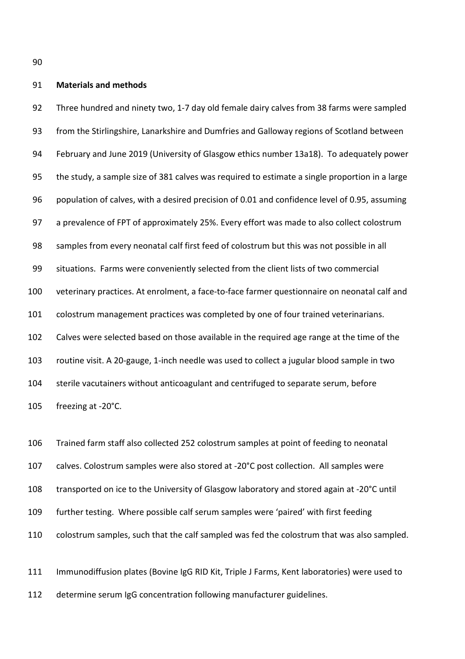### **Materials and methods**

 Three hundred and ninety two, 1-7 day old female dairy calves from 38 farms were sampled from the Stirlingshire, Lanarkshire and Dumfries and Galloway regions of Scotland between February and June 2019 (University of Glasgow ethics number 13a18). To adequately power the study, a sample size of 381 calves was required to estimate a single proportion in a large population of calves, with a desired precision of 0.01 and confidence level of 0.95, assuming a prevalence of FPT of approximately 25%. Every effort was made to also collect colostrum samples from every neonatal calf first feed of colostrum but this was not possible in all situations. Farms were conveniently selected from the client lists of two commercial veterinary practices. At enrolment, a face-to-face farmer questionnaire on neonatal calf and colostrum management practices was completed by one of four trained veterinarians. Calves were selected based on those available in the required age range at the time of the routine visit. A 20-gauge, 1-inch needle was used to collect a jugular blood sample in two sterile vacutainers without anticoagulant and centrifuged to separate serum, before freezing at -20°C.

 Trained farm staff also collected 252 colostrum samples at point of feeding to neonatal calves. Colostrum samples were also stored at -20°C post collection. All samples were transported on ice to the University of Glasgow laboratory and stored again at -20°C until further testing. Where possible calf serum samples were 'paired' with first feeding colostrum samples, such that the calf sampled was fed the colostrum that was also sampled.

 Immunodiffusion plates (Bovine IgG RID Kit, Triple J Farms, Kent laboratories) were used to determine serum IgG concentration following manufacturer guidelines.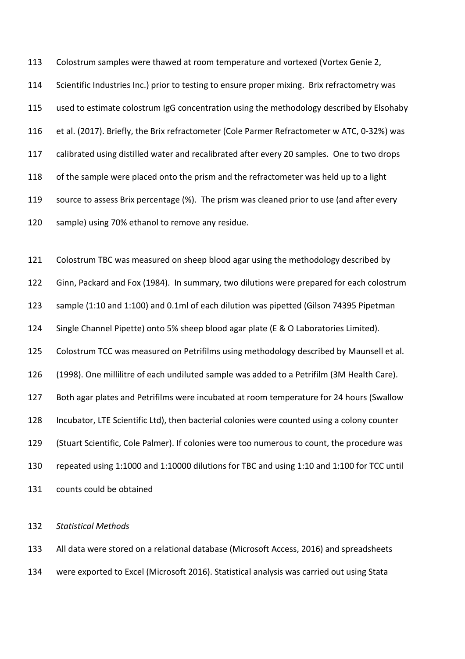Colostrum samples were thawed at room temperature and vortexed (Vortex Genie 2, Scientific Industries Inc.) prior to testing to ensure proper mixing. Brix refractometry was used to estimate colostrum IgG concentration using the methodology described by Elsohaby et al. (2017). Briefly, the Brix refractometer (Cole Parmer Refractometer w ATC, 0-32%) was calibrated using distilled water and recalibrated after every 20 samples. One to two drops of the sample were placed onto the prism and the refractometer was held up to a light source to assess Brix percentage (%). The prism was cleaned prior to use (and after every sample) using 70% ethanol to remove any residue.

 Colostrum TBC was measured on sheep blood agar using the methodology described by Ginn, Packard and Fox (1984). In summary, two dilutions were prepared for each colostrum sample (1:10 and 1:100) and 0.1ml of each dilution was pipetted (Gilson 74395 Pipetman Single Channel Pipette) onto 5% sheep blood agar plate (E & O Laboratories Limited). Colostrum TCC was measured on Petrifilms using methodology described by Maunsell et al. (1998). One millilitre of each undiluted sample was added to a Petrifilm (3M Health Care). Both agar plates and Petrifilms were incubated at room temperature for 24 hours (Swallow Incubator, LTE Scientific Ltd), then bacterial colonies were counted using a colony counter (Stuart Scientific, Cole Palmer). If colonies were too numerous to count, the procedure was repeated using 1:1000 and 1:10000 dilutions for TBC and using 1:10 and 1:100 for TCC until counts could be obtained

## *Statistical Methods*

 All data were stored on a relational database (Microsoft Access, 2016) and spreadsheets were exported to Excel (Microsoft 2016). Statistical analysis was carried out using Stata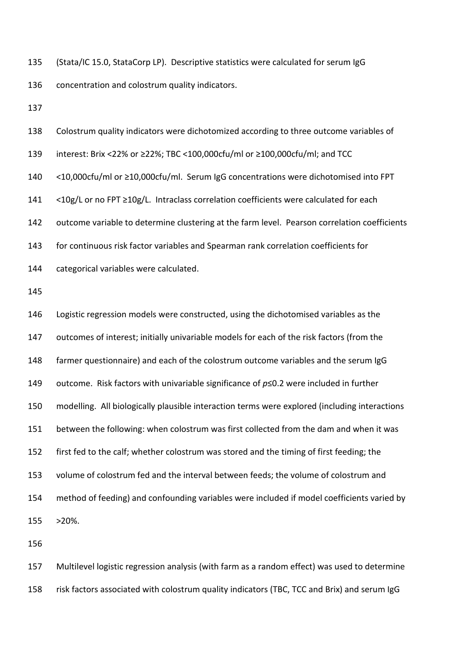(Stata/IC 15.0, StataCorp LP). Descriptive statistics were calculated for serum IgG concentration and colostrum quality indicators.

| 138 | Colostrum quality indicators were dichotomized according to three outcome variables of        |
|-----|-----------------------------------------------------------------------------------------------|
| 139 | interest: Brix <22% or ≥22%; TBC <100,000cfu/ml or ≥100,000cfu/ml; and TCC                    |
| 140 | <10,000cfu/ml or ≥10,000cfu/ml. Serum IgG concentrations were dichotomised into FPT           |
| 141 | <10g/L or no FPT ≥10g/L. Intraclass correlation coefficients were calculated for each         |
| 142 | outcome variable to determine clustering at the farm level. Pearson correlation coefficients  |
| 143 | for continuous risk factor variables and Spearman rank correlation coefficients for           |
| 144 | categorical variables were calculated.                                                        |
| 145 |                                                                                               |
| 146 | Logistic regression models were constructed, using the dichotomised variables as the          |
| 147 | outcomes of interest; initially univariable models for each of the risk factors (from the     |
| 148 | farmer questionnaire) and each of the colostrum outcome variables and the serum IgG           |
| 149 | outcome. Risk factors with univariable significance of $p \le 0.2$ were included in further   |
| 150 | modelling. All biologically plausible interaction terms were explored (including interactions |
| 151 | between the following: when colostrum was first collected from the dam and when it was        |
| 152 | first fed to the calf; whether colostrum was stored and the timing of first feeding; the      |
| 153 | volume of colostrum fed and the interval between feeds; the volume of colostrum and           |
| 154 | method of feeding) and confounding variables were included if model coefficients varied by    |
| 155 | $>20\%$ .                                                                                     |
| 156 |                                                                                               |
|     |                                                                                               |

 Multilevel logistic regression analysis (with farm as a random effect) was used to determine risk factors associated with colostrum quality indicators (TBC, TCC and Brix) and serum IgG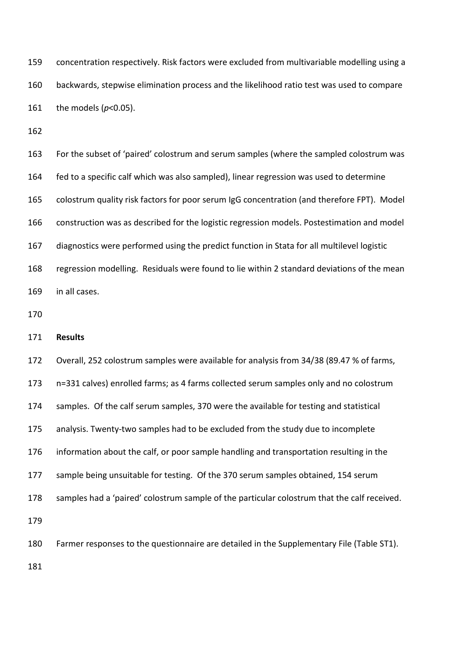concentration respectively. Risk factors were excluded from multivariable modelling using a backwards, stepwise elimination process and the likelihood ratio test was used to compare the models (*p*<0.05).

 For the subset of 'paired' colostrum and serum samples (where the sampled colostrum was fed to a specific calf which was also sampled), linear regression was used to determine colostrum quality risk factors for poor serum IgG concentration (and therefore FPT). Model construction was as described for the logistic regression models. Postestimation and model diagnostics were performed using the predict function in Stata for all multilevel logistic regression modelling. Residuals were found to lie within 2 standard deviations of the mean in all cases.

**Results**

 Overall, 252 colostrum samples were available for analysis from 34/38 (89.47 % of farms, n=331 calves) enrolled farms; as 4 farms collected serum samples only and no colostrum samples. Of the calf serum samples, 370 were the available for testing and statistical analysis. Twenty-two samples had to be excluded from the study due to incomplete information about the calf, or poor sample handling and transportation resulting in the sample being unsuitable for testing. Of the 370 serum samples obtained, 154 serum samples had a 'paired' colostrum sample of the particular colostrum that the calf received. Farmer responses to the questionnaire are detailed in the Supplementary File (Table ST1).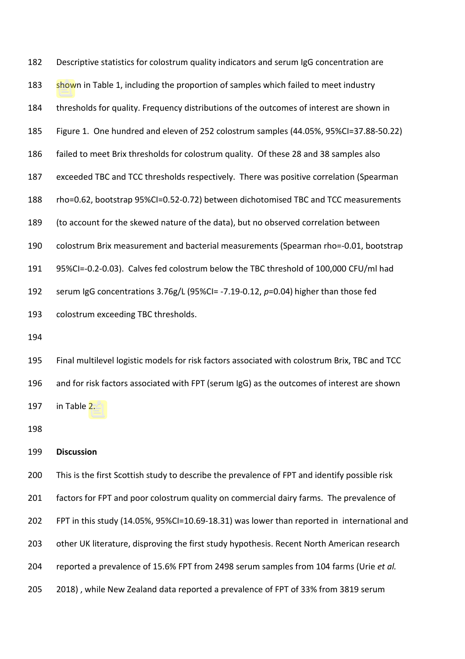Descriptive statistics for colostrum quality indicators and serum IgG concentration are shown in Table 1, including the proportion of samples which failed to meet industry thresholds for quality. Frequency distributions of the outcomes of interest are shown in Figure 1. One hundred and eleven of 252 colostrum samples (44.05%, 95%CI=37.88-50.22) failed to meet Brix thresholds for colostrum quality. Of these 28 and 38 samples also exceeded TBC and TCC thresholds respectively. There was positive correlation (Spearman rho=0.62, bootstrap 95%CI=0.52-0.72) between dichotomised TBC and TCC measurements (to account for the skewed nature of the data), but no observed correlation between colostrum Brix measurement and bacterial measurements (Spearman rho=-0.01, bootstrap 95%CI=-0.2-0.03). Calves fed colostrum below the TBC threshold of 100,000 CFU/ml had serum IgG concentrations 3.76g/L (95%CI= -7.19-0.12, *p*=0.04) higher than those fed colostrum exceeding TBC thresholds. Final multilevel logistic models for risk factors associated with colostrum Brix, TBC and TCC

 and for risk factors associated with FPT (serum IgG) as the outcomes of interest are shown in Table 2.

### **Discussion**

 This is the first Scottish study to describe the prevalence of FPT and identify possible risk factors for FPT and poor colostrum quality on commercial dairy farms. The prevalence of FPT in this study (14.05%, 95%CI=10.69-18.31) was lower than reported in international and 203 other UK literature, disproving the first study hypothesis. Recent North American research reported a prevalence of 15.6% FPT from 2498 serum samples from 104 farms (Urie *et al.* 2018) , while New Zealand data reported a prevalence of FPT of 33% from 3819 serum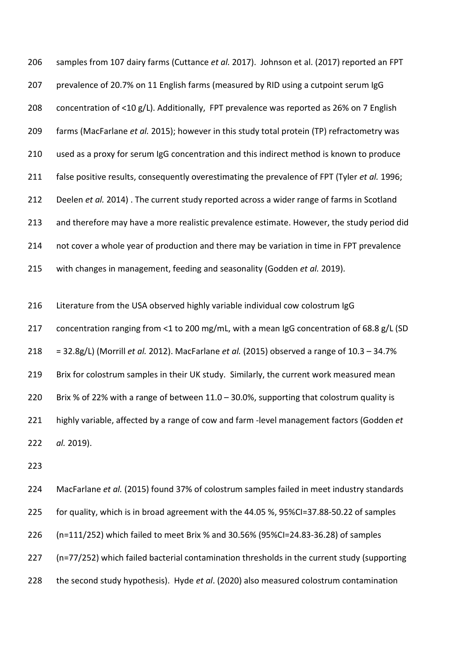samples from 107 dairy farms (Cuttance *et al.* 2017). Johnson et al. (2017) reported an FPT prevalence of 20.7% on 11 English farms (measured by RID using a cutpoint serum IgG concentration of <10 g/L). Additionally, FPT prevalence was reported as 26% on 7 English farms (MacFarlane *et al.* 2015); however in this study total protein (TP) refractometry was used as a proxy for serum IgG concentration and this indirect method is known to produce false positive results, consequently overestimating the prevalence of FPT (Tyler *et al.* 1996; Deelen *et al.* 2014) . The current study reported across a wider range of farms in Scotland and therefore may have a more realistic prevalence estimate. However, the study period did not cover a whole year of production and there may be variation in time in FPT prevalence with changes in management, feeding and seasonality (Godden *et al.* 2019).

 Literature from the USA observed highly variable individual cow colostrum IgG concentration ranging from <1 to 200 mg/mL, with a mean IgG concentration of 68.8 g/L (SD = 32.8g/L) (Morrill *et al.* 2012). MacFarlane *et al.* (2015) observed a range of 10.3 – 34.7% Brix for colostrum samples in their UK study. Similarly, the current work measured mean Brix % of 22% with a range of between 11.0 – 30.0%, supporting that colostrum quality is highly variable, affected by a range of cow and farm -level management factors (Godden *et al.* 2019).

 MacFarlane *et al.* (2015) found 37% of colostrum samples failed in meet industry standards for quality, which is in broad agreement with the 44.05 %, 95%CI=37.88-50.22 of samples (n=111/252) which failed to meet Brix % and 30.56% (95%CI=24.83-36.28) of samples (n=77/252) which failed bacterial contamination thresholds in the current study (supporting the second study hypothesis). Hyde *et al*. (2020) also measured colostrum contamination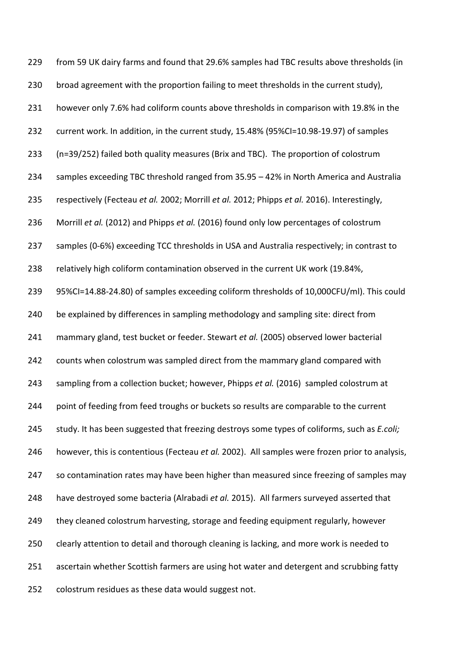from 59 UK dairy farms and found that 29.6% samples had TBC results above thresholds (in broad agreement with the proportion failing to meet thresholds in the current study), however only 7.6% had coliform counts above thresholds in comparison with 19.8% in the current work. In addition, in the current study, 15.48% (95%CI=10.98-19.97) of samples (n=39/252) failed both quality measures (Brix and TBC). The proportion of colostrum samples exceeding TBC threshold ranged from 35.95 – 42% in North America and Australia respectively (Fecteau *et al.* 2002; Morrill *et al.* 2012; Phipps *et al.* 2016). Interestingly, Morrill *et al.* (2012) and Phipps *et al.* (2016) found only low percentages of colostrum samples (0-6%) exceeding TCC thresholds in USA and Australia respectively; in contrast to relatively high coliform contamination observed in the current UK work (19.84%, 95%CI=14.88-24.80) of samples exceeding coliform thresholds of 10,000CFU/ml). This could be explained by differences in sampling methodology and sampling site: direct from mammary gland, test bucket or feeder. Stewart *et al.* (2005) observed lower bacterial 242 counts when colostrum was sampled direct from the mammary gland compared with sampling from a collection bucket; however, Phipps *et al.* (2016) sampled colostrum at 244 point of feeding from feed troughs or buckets so results are comparable to the current study. It has been suggested that freezing destroys some types of coliforms, such as *E.coli;*  however, this is contentious (Fecteau *et al.* 2002). All samples were frozen prior to analysis, so contamination rates may have been higher than measured since freezing of samples may have destroyed some bacteria (Alrabadi *et al.* 2015). All farmers surveyed asserted that they cleaned colostrum harvesting, storage and feeding equipment regularly, however clearly attention to detail and thorough cleaning is lacking, and more work is needed to ascertain whether Scottish farmers are using hot water and detergent and scrubbing fatty colostrum residues as these data would suggest not.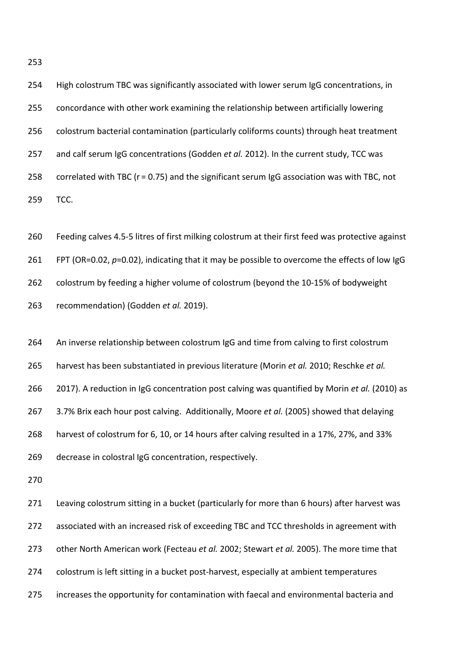High colostrum TBC was significantly associated with lower serum IgG concentrations, in concordance with other work examining the relationship between artificially lowering colostrum bacterial contamination (particularly coliforms counts) through heat treatment and calf serum IgG concentrations (Godden *et al.* 2012). In the current study, TCC was correlated with TBC (r = 0.75) and the significant serum IgG association was with TBC, not TCC.

 Feeding calves 4.5-5 litres of first milking colostrum at their first feed was protective against FPT (OR=0.02, *p*=0.02), indicating that it may be possible to overcome the effects of low IgG colostrum by feeding a higher volume of colostrum (beyond the 10-15% of bodyweight recommendation) (Godden *et al.* 2019).

 An inverse relationship between colostrum IgG and time from calving to first colostrum harvest has been substantiated in previous literature (Morin *et al.* 2010; Reschke *et al.*  2017). A reduction in IgG concentration post calving was quantified by Morin *et al.* (2010) as 3.7% Brix each hour post calving. Additionally, Moore *et al.* (2005) showed that delaying harvest of colostrum for 6, 10, or 14 hours after calving resulted in a 17%, 27%, and 33% decrease in colostral IgG concentration, respectively.

 Leaving colostrum sitting in a bucket (particularly for more than 6 hours) after harvest was associated with an increased risk of exceeding TBC and TCC thresholds in agreement with other North American work (Fecteau *et al.* 2002; Stewart *et al.* 2005). The more time that colostrum is left sitting in a bucket post-harvest, especially at ambient temperatures increases the opportunity for contamination with faecal and environmental bacteria and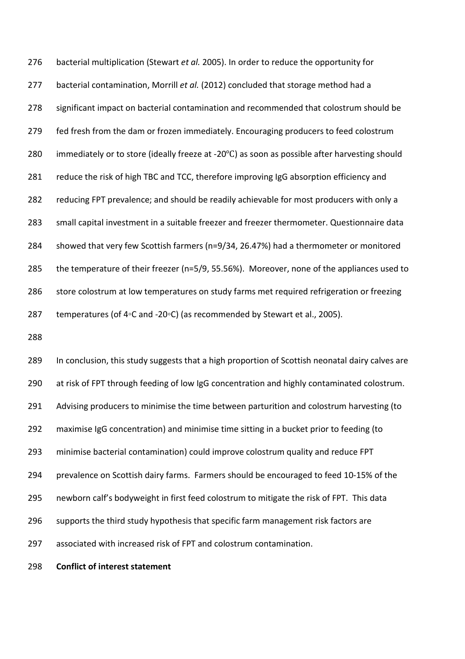bacterial multiplication (Stewart *et al.* 2005). In order to reduce the opportunity for bacterial contamination, Morrill *et al.* (2012) concluded that storage method had a significant impact on bacterial contamination and recommended that colostrum should be fed fresh from the dam or frozen immediately. Encouraging producers to feed colostrum immediately or to store (ideally freeze at -20℃) as soon as possible after harvesting should reduce the risk of high TBC and TCC, therefore improving IgG absorption efficiency and reducing FPT prevalence; and should be readily achievable for most producers with only a small capital investment in a suitable freezer and freezer thermometer. Questionnaire data showed that very few Scottish farmers (n=9/34, 26.47%) had a thermometer or monitored the temperature of their freezer (n=5/9, 55.56%). Moreover, none of the appliances used to store colostrum at low temperatures on study farms met required refrigeration or freezing temperatures (of 4◦C and -20◦C) (as recommended by Stewart et al., 2005).

 In conclusion, this study suggests that a high proportion of Scottish neonatal dairy calves are at risk of FPT through feeding of low IgG concentration and highly contaminated colostrum. 291 Advising producers to minimise the time between parturition and colostrum harvesting (to maximise IgG concentration) and minimise time sitting in a bucket prior to feeding (to minimise bacterial contamination) could improve colostrum quality and reduce FPT prevalence on Scottish dairy farms. Farmers should be encouraged to feed 10-15% of the newborn calf's bodyweight in first feed colostrum to mitigate the risk of FPT. This data supports the third study hypothesis that specific farm management risk factors are associated with increased risk of FPT and colostrum contamination.

**Conflict of interest statement**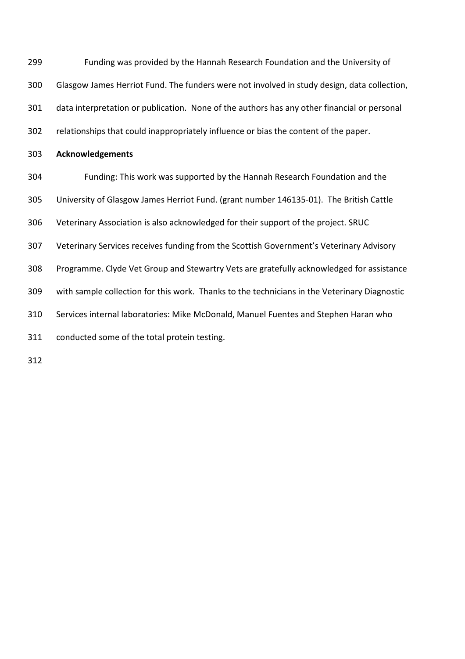Funding was provided by the Hannah Research Foundation and the University of Glasgow James Herriot Fund. The funders were not involved in study design, data collection, data interpretation or publication. None of the authors has any other financial or personal relationships that could inappropriately influence or bias the content of the paper. **Acknowledgements** Funding: This work was supported by the Hannah Research Foundation and the University of Glasgow James Herriot Fund. (grant number 146135-01). The British Cattle Veterinary Association is also acknowledged for their support of the project. SRUC Veterinary Services receives funding from the Scottish Government's Veterinary Advisory Programme. Clyde Vet Group and Stewartry Vets are gratefully acknowledged for assistance with sample collection for this work. Thanks to the technicians in the Veterinary Diagnostic Services internal laboratories: Mike McDonald, Manuel Fuentes and Stephen Haran who conducted some of the total protein testing.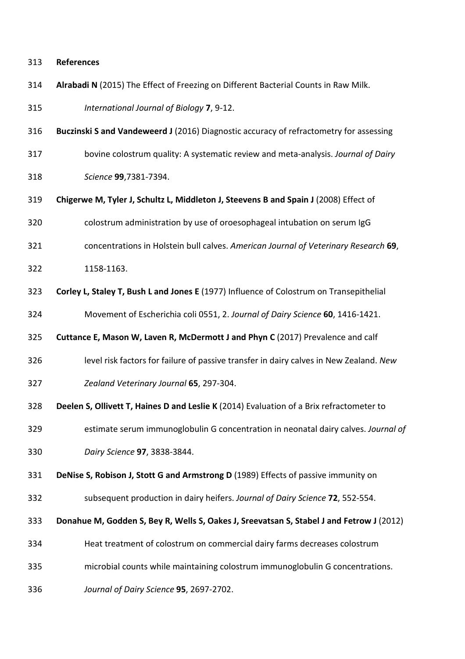## **References**

**Alrabadi N** (2015) The Effect of Freezing on Different Bacterial Counts in Raw Milk.

*International Journal of Biology* **7**, 9-12.

- **Buczinski S and Vandeweerd J** (2016) Diagnostic accuracy of refractometry for assessing
- bovine colostrum quality: A systematic review and meta-analysis. *Journal of Dairy*
- *Science* **99**,7381-7394.
- **Chigerwe M, Tyler J, Schultz L, Middleton J, Steevens B and Spain J** (2008) Effect of
- colostrum administration by use of oroesophageal intubation on serum IgG
- concentrations in Holstein bull calves. *American Journal of Veterinary Research* **69**,
- 1158-1163.
- **Corley L, Staley T, Bush L and Jones E** (1977) Influence of Colostrum on Transepithelial Movement of Escherichia coli 0551, 2. *Journal of Dairy Science* **60**, 1416-1421.
- **Cuttance E, Mason W, Laven R, McDermott J and Phyn C** (2017) Prevalence and calf
- level risk factors for failure of passive transfer in dairy calves in New Zealand. *New*
- *Zealand Veterinary Journal* **65**, 297-304.
- **Deelen S, Ollivett T, Haines D and Leslie K** (2014) Evaluation of a Brix refractometer to
- estimate serum immunoglobulin G concentration in neonatal dairy calves. *Journal of*
- *Dairy Science* **97**, 3838-3844.
- **DeNise S, Robison J, Stott G and Armstrong D** (1989) Effects of passive immunity on
- subsequent production in dairy heifers. *Journal of Dairy Science* **72**, 552-554.
- **Donahue M, Godden S, Bey R, Wells S, Oakes J, Sreevatsan S, Stabel J and Fetrow J** (2012)
- Heat treatment of colostrum on commercial dairy farms decreases colostrum
- microbial counts while maintaining colostrum immunoglobulin G concentrations.
- *Journal of Dairy Science* **95**, 2697-2702.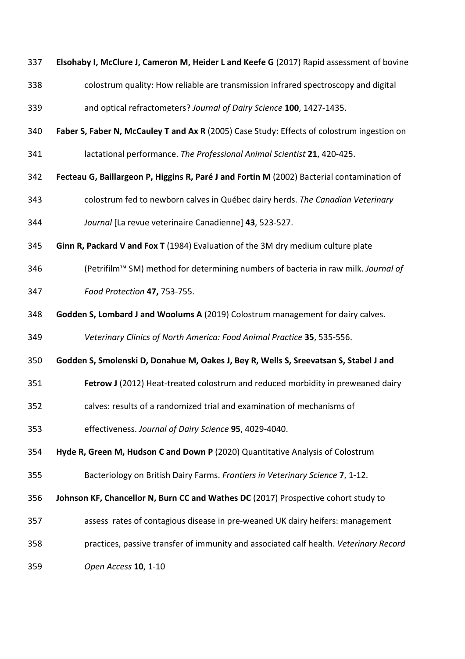**Elsohaby I, McClure J, Cameron M, Heider L and Keefe G** (2017) Rapid assessment of bovine colostrum quality: How reliable are transmission infrared spectroscopy and digital and optical refractometers? *Journal of Dairy Science* **100**, 1427-1435. **Faber S, Faber N, McCauley T and Ax R** (2005) Case Study: Effects of colostrum ingestion on lactational performance. *The Professional Animal Scientist* **21**, 420-425. **Fecteau G, Baillargeon P, Higgins R, Paré J and Fortin M** (2002) Bacterial contamination of colostrum fed to newborn calves in Québec dairy herds. *The Canadian Veterinary Journal* [La revue veterinaire Canadienne] **43**, 523-527. **Ginn R, Packard V and Fox T** (1984) Evaluation of the 3M dry medium culture plate (Petrifilm™ SM) method for determining numbers of bacteria in raw milk. *Journal of Food Protection* **47,** 753-755. **Godden S, Lombard J and Woolums A** (2019) Colostrum management for dairy calves. *Veterinary Clinics of North America: Food Animal Practice* **35**, 535-556. **Godden S, Smolenski D, Donahue M, Oakes J, Bey R, Wells S, Sreevatsan S, Stabel J and Fetrow J** (2012) Heat-treated colostrum and reduced morbidity in preweaned dairy calves: results of a randomized trial and examination of mechanisms of effectiveness. *Journal of Dairy Science* **95**, 4029-4040. **Hyde R, Green M, Hudson C and Down P** (2020) Quantitative Analysis of Colostrum Bacteriology on British Dairy Farms. *Frontiers in Veterinary Science* **7**, 1-12. **Johnson KF, Chancellor N, Burn CC and Wathes DC** (2017) Prospective cohort study to assess rates of contagious disease in pre-weaned UK dairy heifers: management practices, passive transfer of immunity and associated calf health. *Veterinary Record Open Access* **10**, 1-10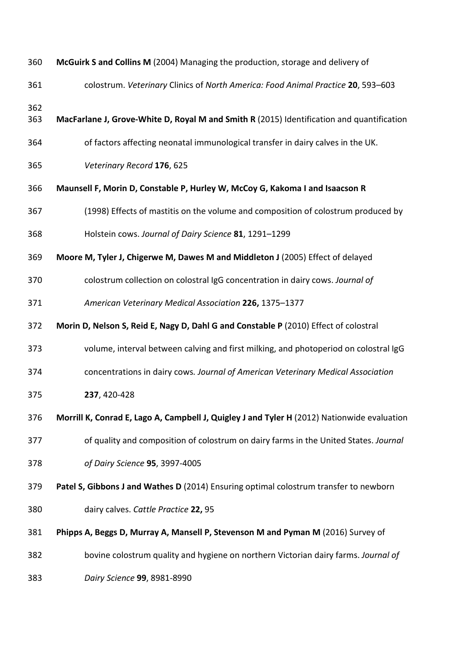| 360        | McGuirk S and Collins M (2004) Managing the production, storage and delivery of             |  |  |  |  |  |  |
|------------|---------------------------------------------------------------------------------------------|--|--|--|--|--|--|
| 361        | colostrum. Veterinary Clinics of North America: Food Animal Practice 20, 593-603            |  |  |  |  |  |  |
| 362<br>363 | MacFarlane J, Grove-White D, Royal M and Smith R (2015) Identification and quantification   |  |  |  |  |  |  |
| 364        | of factors affecting neonatal immunological transfer in dairy calves in the UK.             |  |  |  |  |  |  |
| 365        | Veterinary Record 176, 625                                                                  |  |  |  |  |  |  |
| 366        | Maunsell F, Morin D, Constable P, Hurley W, McCoy G, Kakoma I and Isaacson R                |  |  |  |  |  |  |
| 367        | (1998) Effects of mastitis on the volume and composition of colostrum produced by           |  |  |  |  |  |  |
| 368        | Holstein cows. Journal of Dairy Science 81, 1291-1299                                       |  |  |  |  |  |  |
| 369        | Moore M, Tyler J, Chigerwe M, Dawes M and Middleton J (2005) Effect of delayed              |  |  |  |  |  |  |
| 370        | colostrum collection on colostral IgG concentration in dairy cows. Journal of               |  |  |  |  |  |  |
| 371        | American Veterinary Medical Association 226, 1375-1377                                      |  |  |  |  |  |  |
| 372        | Morin D, Nelson S, Reid E, Nagy D, Dahl G and Constable P (2010) Effect of colostral        |  |  |  |  |  |  |
| 373        | volume, interval between calving and first milking, and photoperiod on colostral IgG        |  |  |  |  |  |  |
| 374        | concentrations in dairy cows. Journal of American Veterinary Medical Association            |  |  |  |  |  |  |
| 375        | 237, 420-428                                                                                |  |  |  |  |  |  |
| 376        | Morrill K, Conrad E, Lago A, Campbell J, Quigley J and Tyler H (2012) Nationwide evaluation |  |  |  |  |  |  |
| 377        | of quality and composition of colostrum on dairy farms in the United States. Journal        |  |  |  |  |  |  |
| 378        | of Dairy Science 95, 3997-4005                                                              |  |  |  |  |  |  |
| 379        | Patel S, Gibbons J and Wathes D (2014) Ensuring optimal colostrum transfer to newborn       |  |  |  |  |  |  |
| 380        | dairy calves. Cattle Practice 22, 95                                                        |  |  |  |  |  |  |
| 381        | Phipps A, Beggs D, Murray A, Mansell P, Stevenson M and Pyman M (2016) Survey of            |  |  |  |  |  |  |
| 382        | bovine colostrum quality and hygiene on northern Victorian dairy farms. Journal of          |  |  |  |  |  |  |
| 383        | Dairy Science 99, 8981-8990                                                                 |  |  |  |  |  |  |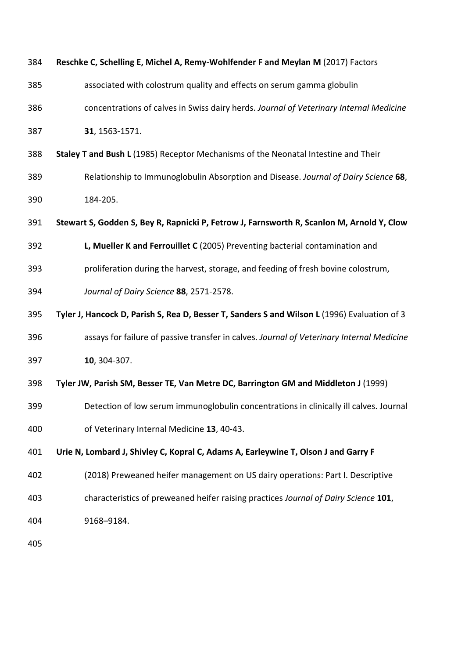| 384 | Reschke C, Schelling E, Michel A, Remy-Wohlfender F and Meylan M (2017) Factors              |
|-----|----------------------------------------------------------------------------------------------|
| 385 | associated with colostrum quality and effects on serum gamma globulin                        |
| 386 | concentrations of calves in Swiss dairy herds. Journal of Veterinary Internal Medicine       |
| 387 | 31, 1563-1571.                                                                               |
| 388 | Staley T and Bush L (1985) Receptor Mechanisms of the Neonatal Intestine and Their           |
| 389 | Relationship to Immunoglobulin Absorption and Disease. Journal of Dairy Science 68,          |
| 390 | 184-205.                                                                                     |
| 391 | Stewart S, Godden S, Bey R, Rapnicki P, Fetrow J, Farnsworth R, Scanlon M, Arnold Y, Clow    |
| 392 | L, Mueller K and Ferrouillet C (2005) Preventing bacterial contamination and                 |
| 393 | proliferation during the harvest, storage, and feeding of fresh bovine colostrum,            |
| 394 | Journal of Dairy Science 88, 2571-2578.                                                      |
| 395 | Tyler J, Hancock D, Parish S, Rea D, Besser T, Sanders S and Wilson L (1996) Evaluation of 3 |
| 396 | assays for failure of passive transfer in calves. Journal of Veterinary Internal Medicine    |
| 397 | 10, 304-307.                                                                                 |
| 398 | Tyler JW, Parish SM, Besser TE, Van Metre DC, Barrington GM and Middleton J (1999)           |
| 399 | Detection of low serum immunoglobulin concentrations in clinically ill calves. Journal       |
| 400 | of Veterinary Internal Medicine 13, 40-43.                                                   |
| 401 | Urie N, Lombard J, Shivley C, Kopral C, Adams A, Earleywine T, Olson J and Garry F           |
| 402 | (2018) Preweaned heifer management on US dairy operations: Part I. Descriptive               |
| 403 | characteristics of preweaned heifer raising practices Journal of Dairy Science 101,          |
| 404 | 9168-9184.                                                                                   |
| 405 |                                                                                              |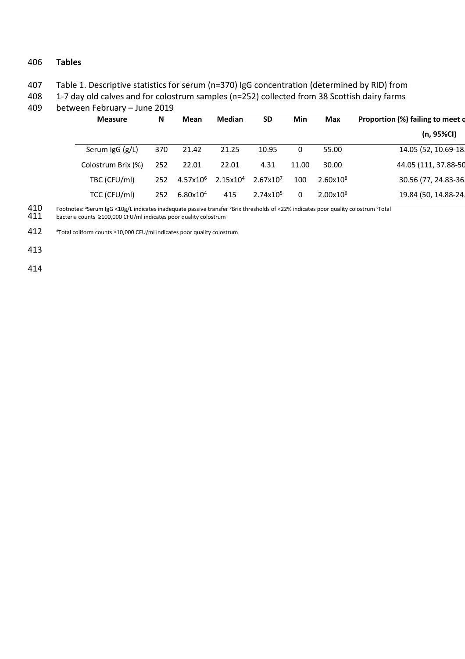## 406 **Tables**

407 Table 1. Descriptive statistics for serum (n=370) IgG concentration (determined by RID) from

408 1-7 day old calves and for colostrum samples (n=252) collected from 38 Scottish dairy farms

| <b>Measure</b>     | N   | <b>Median</b><br>Min<br><b>SD</b><br>Mean<br><b>Max</b> |                      | Proportion (%) failing to meet o |       |                      |                      |
|--------------------|-----|---------------------------------------------------------|----------------------|----------------------------------|-------|----------------------|----------------------|
|                    |     |                                                         |                      |                                  |       |                      | (n, 95%Cl)           |
| Serum IgG (g/L)    | 370 | 21.42                                                   | 21.25                | 10.95                            | 0     | 55.00                | 14.05 (52, 10.69-18. |
| Colostrum Brix (%) | 252 | 22.01                                                   | 22.01                | 4.31                             | 11.00 | 30.00                | 44.05 (111, 37.88-50 |
| TBC (CFU/ml)       | 252 | $4.57x10^{6}$                                           | 2.15x10 <sup>4</sup> | 2.67x10 <sup>7</sup>             | 100   | 2.60x10 <sup>8</sup> | 30.56 (77, 24.83-36. |
| TCC (CFU/ml)       | 252 | 6.80x10 <sup>4</sup>                                    | 415                  | 2.74x10 <sup>5</sup>             | 0     | $2.00x10^{6}$        | 19.84 (50, 14.88-24. |

409 between February – June 2019

 $410$  Footnotes: <sup>a</sup>Serum IgG <10g/L indicates inadequate passive transfer <sup>b</sup>Brix thresholds of <22% indicates poor quality colostrum 'Total 410 Footnotes: a Serum IgG <10g/L indicates inadequate passive transfer<br>411 bacteria counts ≥100,000 CFU/ml indicates poor quality colostrum

412  $\sigma$  Total coliform counts ≥10,000 CFU/ml indicates poor quality colostrum

413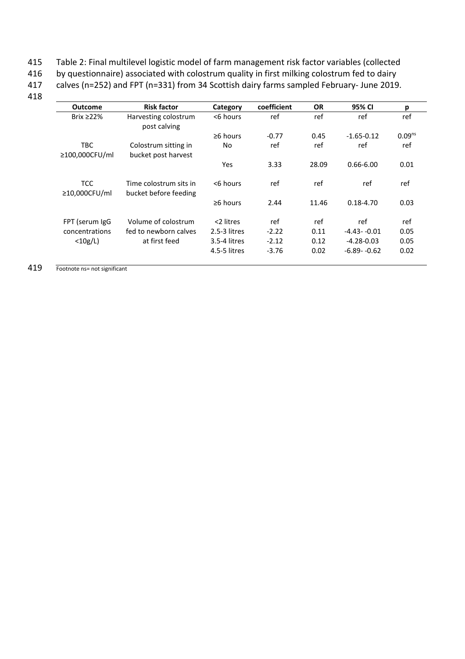- 415 Table 2: Final multilevel logistic model of farm management risk factor variables (collected<br>416 by questionnaire) associated with colostrum quality in first milking colostrum fed to dairy
- by questionnaire) associated with colostrum quality in first milking colostrum fed to dairy

417 calves (n=252) and FPT (n=331) from 34 Scottish dairy farms sampled February- June 2019.

418

| Outcome                           | <b>Risk factor</b>                              | Category       | coefficient | <b>OR</b> | 95% CI         | р                  |
|-----------------------------------|-------------------------------------------------|----------------|-------------|-----------|----------------|--------------------|
| Brix $\geq$ 22%                   | Harvesting colostrum<br>post calving            | <6 hours       | ref         | ref       | ref            | ref                |
|                                   |                                                 | $\geq 6$ hours | $-0.77$     | 0.45      | $-1.65 - 0.12$ | 0.09 <sup>ns</sup> |
| TBC<br>$\geq$ 100,000CFU/ml       | Colostrum sitting in<br>bucket post harvest     | No.            | ref         | ref       | ref            | ref                |
|                                   |                                                 | Yes            | 3.33        | 28.09     | $0.66 - 6.00$  | 0.01               |
| <b>TCC</b><br>$\geq$ 10,000CFU/ml | Time colostrum sits in<br>bucket before feeding | <6 hours       | ref         | ref       | ref            | ref                |
|                                   |                                                 | $\geq 6$ hours | 2.44        | 11.46     | $0.18 - 4.70$  | 0.03               |
| FPT (serum IgG                    | Volume of colostrum                             | <2 litres      | ref         | ref       | ref            | ref                |
| concentrations                    | fed to newborn calves                           | 2.5-3 litres   | $-2.22$     | 0.11      | $-4.43 - 0.01$ | 0.05               |
| $<$ 10g/L)                        | at first feed                                   | 3.5-4 litres   | $-2.12$     | 0.12      | $-4.28 - 0.03$ | 0.05               |
|                                   |                                                 | 4.5-5 litres   | $-3.76$     | 0.02      | $-6.89 - 0.62$ | 0.02               |

419 Footnote ns= not significant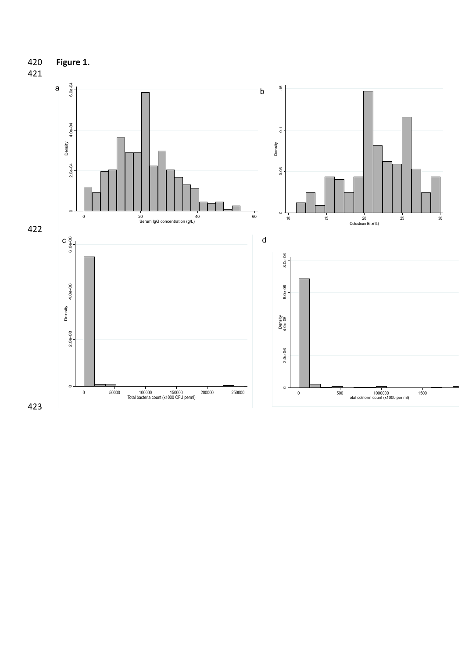